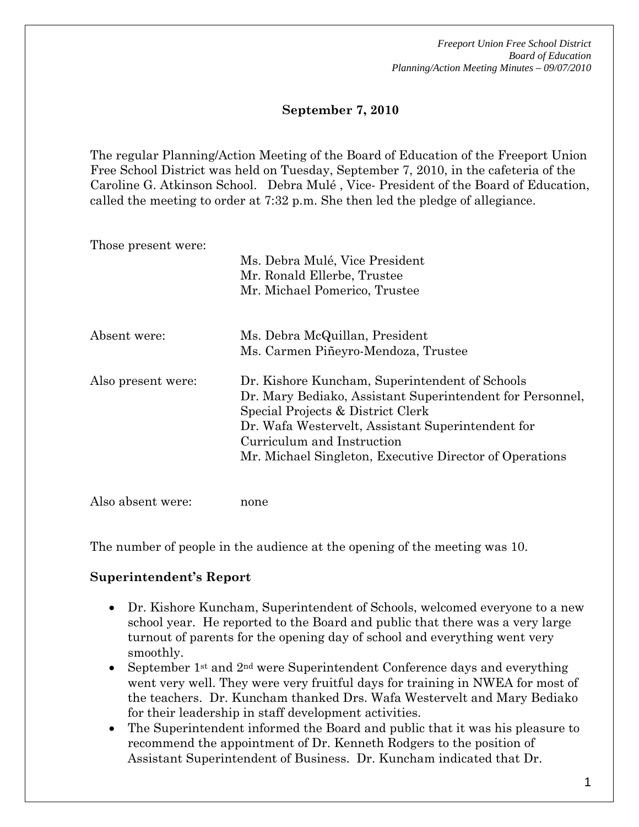### **September 7, 2010**

The regular Planning/Action Meeting of the Board of Education of the Freeport Union Free School District was held on Tuesday, September 7, 2010, in the cafeteria of the Caroline G. Atkinson School. Debra Mulé , Vice- President of the Board of Education, called the meeting to order at 7:32 p.m. She then led the pledge of allegiance.

Those present were:

|                    | Ms. Debra Mulé, Vice President<br>Mr. Ronald Ellerbe, Trustee<br>Mr. Michael Pomerico, Trustee                                                                                                                                                                                                 |
|--------------------|------------------------------------------------------------------------------------------------------------------------------------------------------------------------------------------------------------------------------------------------------------------------------------------------|
| Absent were:       | Ms. Debra McQuillan, President<br>Ms. Carmen Piñeyro-Mendoza, Trustee                                                                                                                                                                                                                          |
| Also present were: | Dr. Kishore Kuncham, Superintendent of Schools<br>Dr. Mary Bediako, Assistant Superintendent for Personnel,<br>Special Projects & District Clerk<br>Dr. Wafa Westervelt, Assistant Superintendent for<br>Curriculum and Instruction<br>Mr. Michael Singleton, Executive Director of Operations |

Also absent were: none

The number of people in the audience at the opening of the meeting was 10.

### **Superintendent's Report**

- Dr. Kishore Kuncham, Superintendent of Schools, welcomed everyone to a new school year. He reported to the Board and public that there was a very large turnout of parents for the opening day of school and everything went very smoothly.
- September 1<sup>st</sup> and  $2<sup>nd</sup>$  were Superintendent Conference days and everything went very well. They were very fruitful days for training in NWEA for most of the teachers. Dr. Kuncham thanked Drs. Wafa Westervelt and Mary Bediako for their leadership in staff development activities.
- The Superintendent informed the Board and public that it was his pleasure to recommend the appointment of Dr. Kenneth Rodgers to the position of Assistant Superintendent of Business. Dr. Kuncham indicated that Dr.

1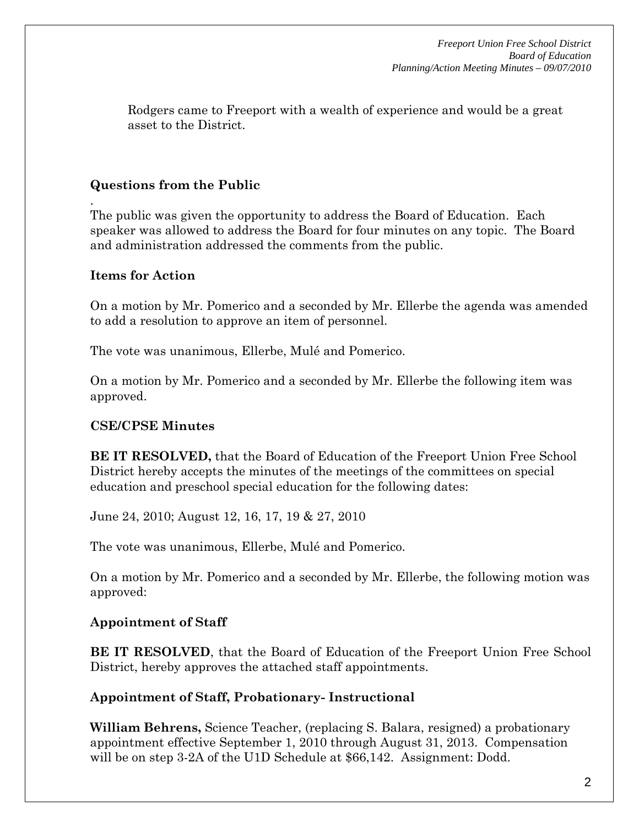Rodgers came to Freeport with a wealth of experience and would be a great asset to the District.

# **Questions from the Public**

The public was given the opportunity to address the Board of Education. Each speaker was allowed to address the Board for four minutes on any topic. The Board and administration addressed the comments from the public.

# **Items for Action**

.

On a motion by Mr. Pomerico and a seconded by Mr. Ellerbe the agenda was amended to add a resolution to approve an item of personnel.

The vote was unanimous, Ellerbe, Mulé and Pomerico.

On a motion by Mr. Pomerico and a seconded by Mr. Ellerbe the following item was approved.

# **CSE/CPSE Minutes**

**BE IT RESOLVED,** that the Board of Education of the Freeport Union Free School District hereby accepts the minutes of the meetings of the committees on special education and preschool special education for the following dates:

June 24, 2010; August 12, 16, 17, 19 & 27, 2010

The vote was unanimous, Ellerbe, Mulé and Pomerico.

On a motion by Mr. Pomerico and a seconded by Mr. Ellerbe, the following motion was approved:

# **Appointment of Staff**

**BE IT RESOLVED**, that the Board of Education of the Freeport Union Free School District, hereby approves the attached staff appointments.

# **Appointment of Staff, Probationary- Instructional**

**William Behrens,** Science Teacher, (replacing S. Balara, resigned) a probationary appointment effective September 1, 2010 through August 31, 2013. Compensation will be on step 3-2A of the U1D Schedule at \$66,142. Assignment: Dodd.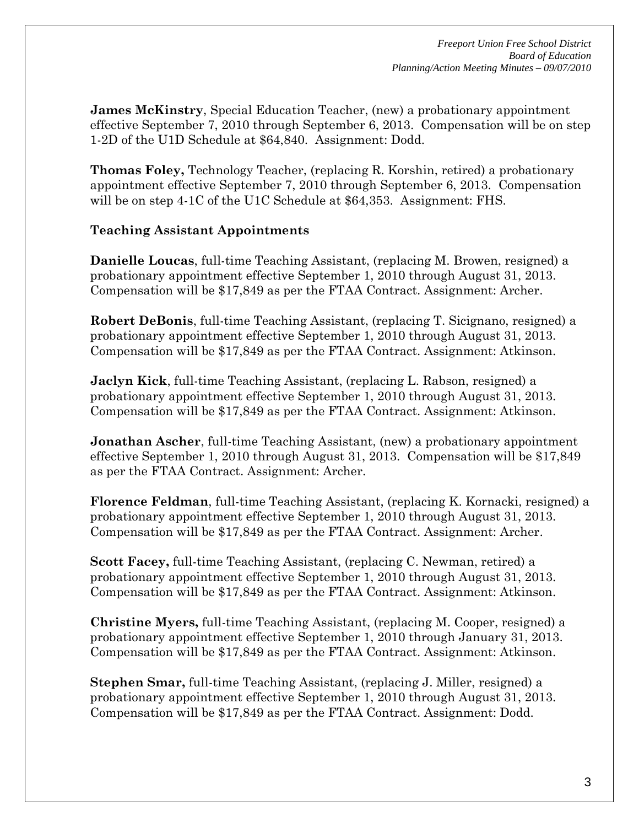**James McKinstry**, Special Education Teacher, (new) a probationary appointment effective September 7, 2010 through September 6, 2013. Compensation will be on step 1-2D of the U1D Schedule at \$64,840. Assignment: Dodd.

**Thomas Foley,** Technology Teacher, (replacing R. Korshin, retired) a probationary appointment effective September 7, 2010 through September 6, 2013. Compensation will be on step 4-1C of the U1C Schedule at \$64,353. Assignment: FHS.

# **Teaching Assistant Appointments**

**Danielle Loucas**, full-time Teaching Assistant, (replacing M. Browen, resigned) a probationary appointment effective September 1, 2010 through August 31, 2013. Compensation will be \$17,849 as per the FTAA Contract. Assignment: Archer.

**Robert DeBonis**, full-time Teaching Assistant, (replacing T. Sicignano, resigned) a probationary appointment effective September 1, 2010 through August 31, 2013. Compensation will be \$17,849 as per the FTAA Contract. Assignment: Atkinson.

**Jaclyn Kick**, full-time Teaching Assistant, (replacing L. Rabson, resigned) a probationary appointment effective September 1, 2010 through August 31, 2013. Compensation will be \$17,849 as per the FTAA Contract. Assignment: Atkinson.

**Jonathan Ascher**, full-time Teaching Assistant, (new) a probationary appointment effective September 1, 2010 through August 31, 2013. Compensation will be \$17,849 as per the FTAA Contract. Assignment: Archer.

**Florence Feldman**, full-time Teaching Assistant, (replacing K. Kornacki, resigned) a probationary appointment effective September 1, 2010 through August 31, 2013. Compensation will be \$17,849 as per the FTAA Contract. Assignment: Archer.

**Scott Facey,** full-time Teaching Assistant, (replacing C. Newman, retired) a probationary appointment effective September 1, 2010 through August 31, 2013. Compensation will be \$17,849 as per the FTAA Contract. Assignment: Atkinson.

**Christine Myers,** full-time Teaching Assistant, (replacing M. Cooper, resigned) a probationary appointment effective September 1, 2010 through January 31, 2013. Compensation will be \$17,849 as per the FTAA Contract. Assignment: Atkinson.

**Stephen Smar,** full-time Teaching Assistant, (replacing J. Miller, resigned) a probationary appointment effective September 1, 2010 through August 31, 2013. Compensation will be \$17,849 as per the FTAA Contract. Assignment: Dodd.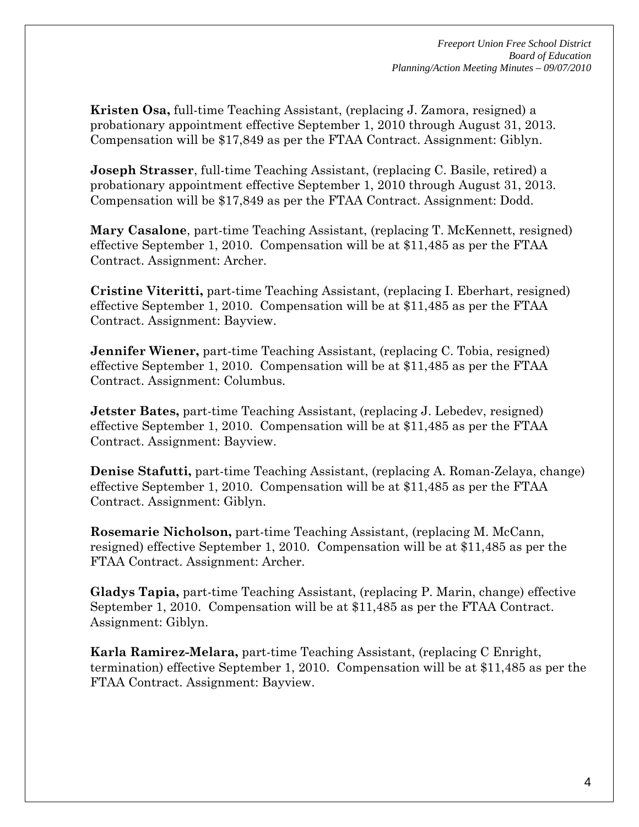**Kristen Osa,** full-time Teaching Assistant, (replacing J. Zamora, resigned) a probationary appointment effective September 1, 2010 through August 31, 2013. Compensation will be \$17,849 as per the FTAA Contract. Assignment: Giblyn.

**Joseph Strasser**, full-time Teaching Assistant, (replacing C. Basile, retired) a probationary appointment effective September 1, 2010 through August 31, 2013. Compensation will be \$17,849 as per the FTAA Contract. Assignment: Dodd.

**Mary Casalone**, part-time Teaching Assistant, (replacing T. McKennett, resigned) effective September 1, 2010. Compensation will be at \$11,485 as per the FTAA Contract. Assignment: Archer.

**Cristine Viteritti,** part-time Teaching Assistant, (replacing I. Eberhart, resigned) effective September 1, 2010. Compensation will be at \$11,485 as per the FTAA Contract. Assignment: Bayview.

**Jennifer Wiener,** part-time Teaching Assistant, (replacing C. Tobia, resigned) effective September 1, 2010. Compensation will be at \$11,485 as per the FTAA Contract. Assignment: Columbus.

**Jetster Bates, part-time Teaching Assistant, (replacing J. Lebedev, resigned)** effective September 1, 2010. Compensation will be at \$11,485 as per the FTAA Contract. Assignment: Bayview.

**Denise Stafutti,** part-time Teaching Assistant, (replacing A. Roman-Zelaya, change) effective September 1, 2010. Compensation will be at \$11,485 as per the FTAA Contract. Assignment: Giblyn.

**Rosemarie Nicholson,** part-time Teaching Assistant, (replacing M. McCann, resigned) effective September 1, 2010. Compensation will be at \$11,485 as per the FTAA Contract. Assignment: Archer.

**Gladys Tapia,** part-time Teaching Assistant, (replacing P. Marin, change) effective September 1, 2010. Compensation will be at \$11,485 as per the FTAA Contract. Assignment: Giblyn.

**Karla Ramirez-Melara,** part-time Teaching Assistant, (replacing C Enright, termination) effective September 1, 2010. Compensation will be at \$11,485 as per the FTAA Contract. Assignment: Bayview.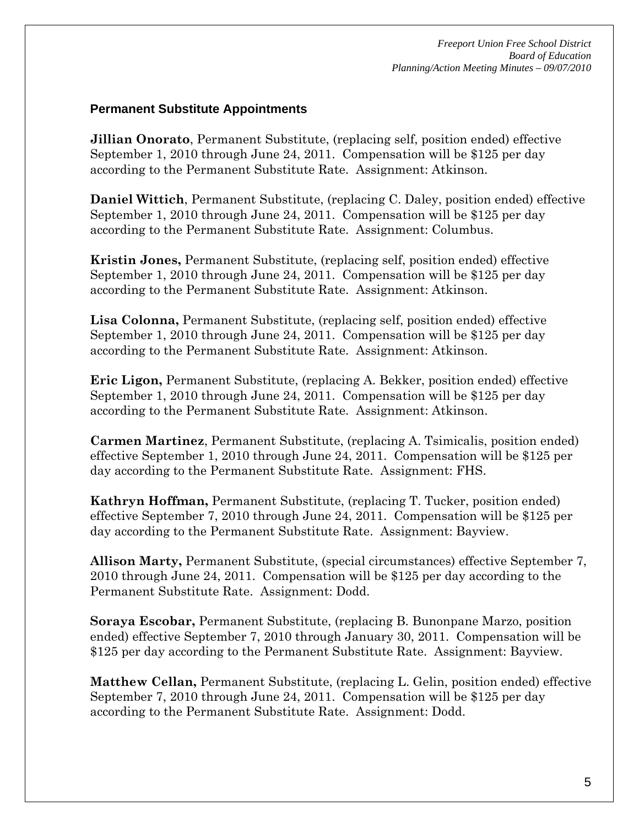### **Permanent Substitute Appointments**

**Jillian Onorato**, Permanent Substitute, (replacing self, position ended) effective September 1, 2010 through June 24, 2011. Compensation will be \$125 per day according to the Permanent Substitute Rate. Assignment: Atkinson.

**Daniel Wittich**, Permanent Substitute, (replacing C. Daley, position ended) effective September 1, 2010 through June 24, 2011. Compensation will be \$125 per day according to the Permanent Substitute Rate. Assignment: Columbus.

**Kristin Jones,** Permanent Substitute, (replacing self, position ended) effective September 1, 2010 through June 24, 2011. Compensation will be \$125 per day according to the Permanent Substitute Rate. Assignment: Atkinson.

**Lisa Colonna,** Permanent Substitute, (replacing self, position ended) effective September 1, 2010 through June 24, 2011. Compensation will be \$125 per day according to the Permanent Substitute Rate. Assignment: Atkinson.

**Eric Ligon,** Permanent Substitute, (replacing A. Bekker, position ended) effective September 1, 2010 through June 24, 2011. Compensation will be \$125 per day according to the Permanent Substitute Rate. Assignment: Atkinson.

**Carmen Martinez**, Permanent Substitute, (replacing A. Tsimicalis, position ended) effective September 1, 2010 through June 24, 2011. Compensation will be \$125 per day according to the Permanent Substitute Rate. Assignment: FHS.

**Kathryn Hoffman,** Permanent Substitute, (replacing T. Tucker, position ended) effective September 7, 2010 through June 24, 2011. Compensation will be \$125 per day according to the Permanent Substitute Rate. Assignment: Bayview.

**Allison Marty,** Permanent Substitute, (special circumstances) effective September 7, 2010 through June 24, 2011. Compensation will be \$125 per day according to the Permanent Substitute Rate. Assignment: Dodd.

**Soraya Escobar,** Permanent Substitute, (replacing B. Bunonpane Marzo, position ended) effective September 7, 2010 through January 30, 2011. Compensation will be \$125 per day according to the Permanent Substitute Rate. Assignment: Bayview.

**Matthew Cellan,** Permanent Substitute, (replacing L. Gelin, position ended) effective September 7, 2010 through June 24, 2011. Compensation will be \$125 per day according to the Permanent Substitute Rate. Assignment: Dodd.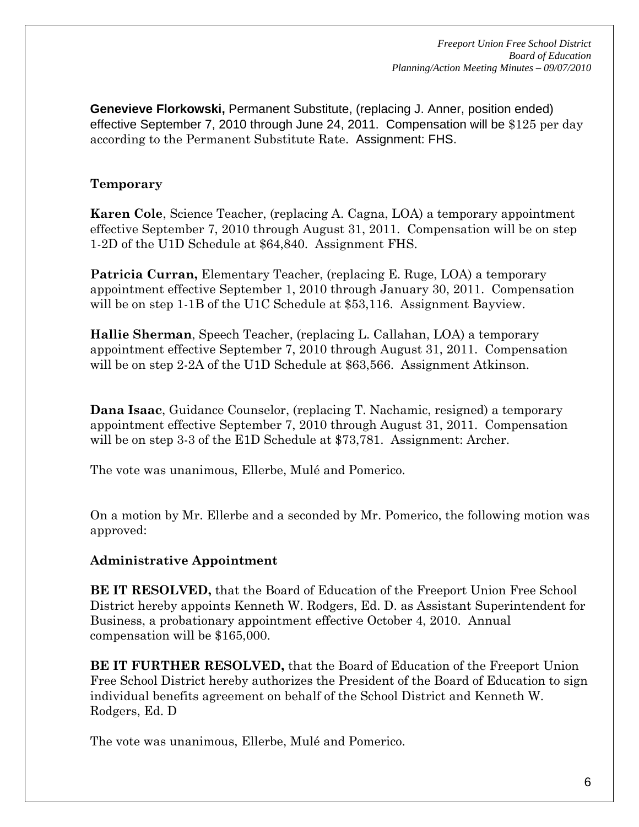**Genevieve Florkowski,** Permanent Substitute, (replacing J. Anner, position ended) effective September 7, 2010 through June 24, 2011. Compensation will be \$125 per day according to the Permanent Substitute Rate. Assignment: FHS.

# **Temporary**

**Karen Cole**, Science Teacher, (replacing A. Cagna, LOA) a temporary appointment effective September 7, 2010 through August 31, 2011. Compensation will be on step 1-2D of the U1D Schedule at \$64,840. Assignment FHS.

**Patricia Curran,** Elementary Teacher, (replacing E. Ruge, LOA) a temporary appointment effective September 1, 2010 through January 30, 2011. Compensation will be on step 1-1B of the U1C Schedule at \$53,116. Assignment Bayview.

**Hallie Sherman**, Speech Teacher, (replacing L. Callahan, LOA) a temporary appointment effective September 7, 2010 through August 31, 2011. Compensation will be on step 2-2A of the U1D Schedule at \$63,566. Assignment Atkinson.

**Dana Isaac**, Guidance Counselor, (replacing T. Nachamic, resigned) a temporary appointment effective September 7, 2010 through August 31, 2011. Compensation will be on step 3-3 of the E1D Schedule at \$73,781. Assignment: Archer.

The vote was unanimous, Ellerbe, Mulé and Pomerico.

On a motion by Mr. Ellerbe and a seconded by Mr. Pomerico, the following motion was approved:

# **Administrative Appointment**

**BE IT RESOLVED,** that the Board of Education of the Freeport Union Free School District hereby appoints Kenneth W. Rodgers, Ed. D. as Assistant Superintendent for Business, a probationary appointment effective October 4, 2010. Annual compensation will be \$165,000.

**BE IT FURTHER RESOLVED,** that the Board of Education of the Freeport Union Free School District hereby authorizes the President of the Board of Education to sign individual benefits agreement on behalf of the School District and Kenneth W. Rodgers, Ed. D

The vote was unanimous, Ellerbe, Mulé and Pomerico.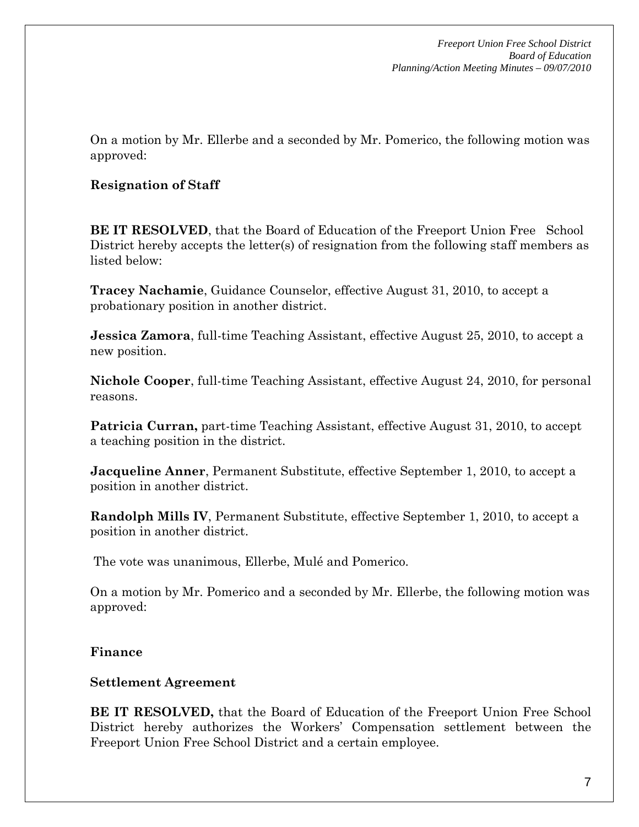On a motion by Mr. Ellerbe and a seconded by Mr. Pomerico, the following motion was approved:

# **Resignation of Staff**

**BE IT RESOLVED**, that the Board of Education of the Freeport Union Free School District hereby accepts the letter(s) of resignation from the following staff members as listed below:

**Tracey Nachamie**, Guidance Counselor, effective August 31, 2010, to accept a probationary position in another district.

**Jessica Zamora**, full-time Teaching Assistant, effective August 25, 2010, to accept a new position.

**Nichole Cooper**, full-time Teaching Assistant, effective August 24, 2010, for personal reasons.

**Patricia Curran,** part-time Teaching Assistant, effective August 31, 2010, to accept a teaching position in the district.

**Jacqueline Anner**, Permanent Substitute, effective September 1, 2010, to accept a position in another district.

**Randolph Mills IV**, Permanent Substitute, effective September 1, 2010, to accept a position in another district.

The vote was unanimous, Ellerbe, Mulé and Pomerico.

On a motion by Mr. Pomerico and a seconded by Mr. Ellerbe, the following motion was approved:

### **Finance**

### **Settlement Agreement**

**BE IT RESOLVED,** that the Board of Education of the Freeport Union Free School District hereby authorizes the Workers' Compensation settlement between the Freeport Union Free School District and a certain employee.